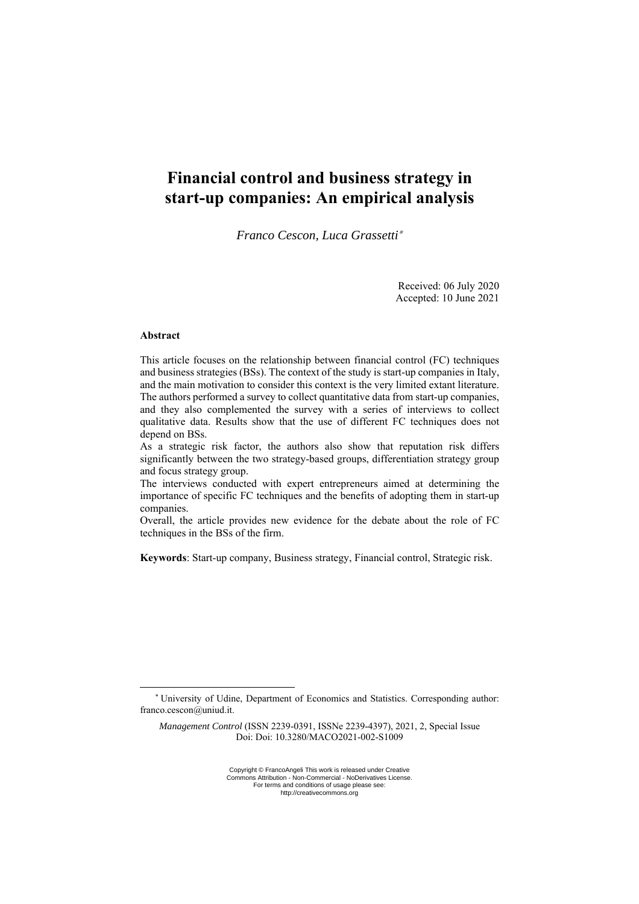# **Financial control and business strategy in start-up companies: An empirical analysis**

*Franco Cescon, Luca Grassetti*<sup>∗</sup>

Received: 06 July 2020 Accepted: 10 June 2021

# **Abstract**

This article focuses on the relationship between financial control (FC) techniques and business strategies (BSs). The context of the study is start-up companies in Italy, and the main motivation to consider this context is the very limited extant literature. The authors performed a survey to collect quantitative data from start-up companies, and they also complemented the survey with a series of interviews to collect qualitative data. Results show that the use of different FC techniques does not depend on BSs.

As a strategic risk factor, the authors also show that reputation risk differs significantly between the two strategy-based groups, differentiation strategy group and focus strategy group.

The interviews conducted with expert entrepreneurs aimed at determining the importance of specific FC techniques and the benefits of adopting them in start-up companies.

Overall, the article provides new evidence for the debate about the role of FC techniques in the BSs of the firm.

**Keywords**: Start-up company, Business strategy, Financial control, Strategic risk.

<sup>\*</sup> University of Udine, Department of Economics and Statistics. Corresponding author: franco.cescon@uniud.it.

*Management Control* (ISSN 2239-0391, ISSNe 2239-4397), 2021, 2, Special Issue Doi: Doi: 10.3280/MACO2021-002-S1009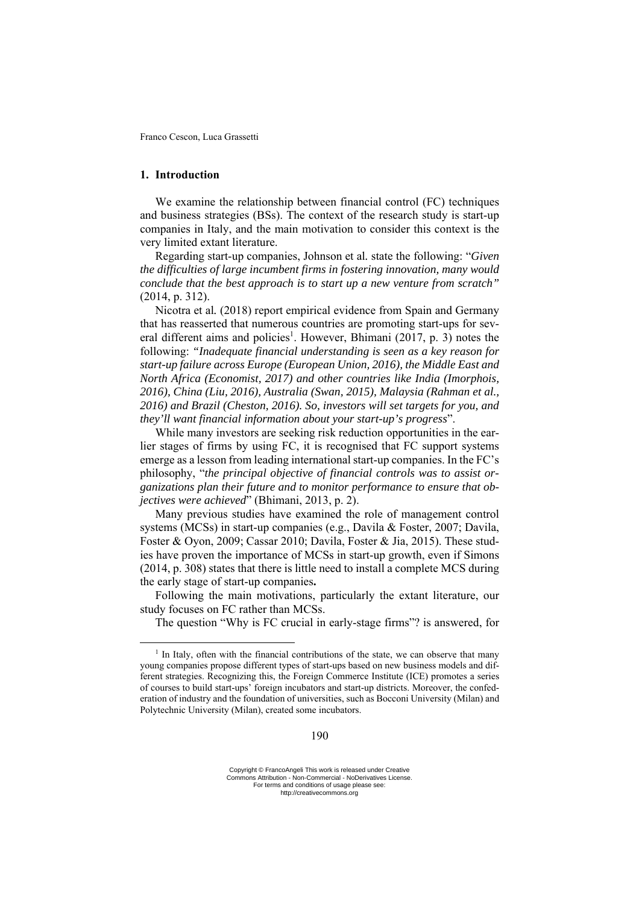# **1. Introduction**

We examine the relationship between financial control (FC) techniques and business strategies (BSs). The context of the research study is start-up companies in Italy, and the main motivation to consider this context is the very limited extant literature.

Regarding start-up companies, Johnson et al*.* state the following: "*Given the difficulties of large incumbent firms in fostering innovation, many would conclude that the best approach is to start up a new venture from scratch"* (2014, p. 312).

Nicotra et al*.* (2018) report empirical evidence from Spain and Germany that has reasserted that numerous countries are promoting start-ups for several different aims and policies<sup>1</sup>. However, Bhimani (2017, p. 3) notes the following: *"Inadequate financial understanding is seen as a key reason for start-up failure across Europe (European Union, 2016), the Middle East and North Africa (Economist, 2017) and other countries like India (Imorphois, 2016), China (Liu, 2016), Australia (Swan, 2015), Malaysia (Rahman et al., 2016) and Brazil (Cheston, 2016). So, investors will set targets for you, and they'll want financial information about your start-up's progress*".

While many investors are seeking risk reduction opportunities in the earlier stages of firms by using FC, it is recognised that FC support systems emerge as a lesson from leading international start-up companies. In the FC's philosophy, "*the principal objective of financial controls was to assist organizations plan their future and to monitor performance to ensure that objectives were achieved*" (Bhimani, 2013, p. 2).

Many previous studies have examined the role of management control systems (MCSs) in start-up companies (e.g., Davila & Foster, 2007; Davila, Foster & Oyon, 2009; Cassar 2010; Davila, Foster & Jia, 2015). These studies have proven the importance of MCSs in start-up growth, even if Simons (2014, p. 308) states that there is little need to install a complete MCS during the early stage of start-up companies**.** 

Following the main motivations, particularly the extant literature, our study focuses on FC rather than MCSs.

The question "Why is FC crucial in early-stage firms"? is answered, for

 $<sup>1</sup>$  In Italy, often with the financial contributions of the state, we can observe that many</sup> young companies propose different types of start-ups based on new business models and different strategies. Recognizing this, the Foreign Commerce Institute (ICE) promotes a series of courses to build start-ups' foreign incubators and start-up districts. Moreover, the confederation of industry and the foundation of universities, such as Bocconi University (Milan) and Polytechnic University (Milan), created some incubators.

Copyright © FrancoAngeli This work is released under Creative Commons Attribution - Non-Commercial - NoDerivatives License. For terms and conditions of usage please see: http://creativecommons.org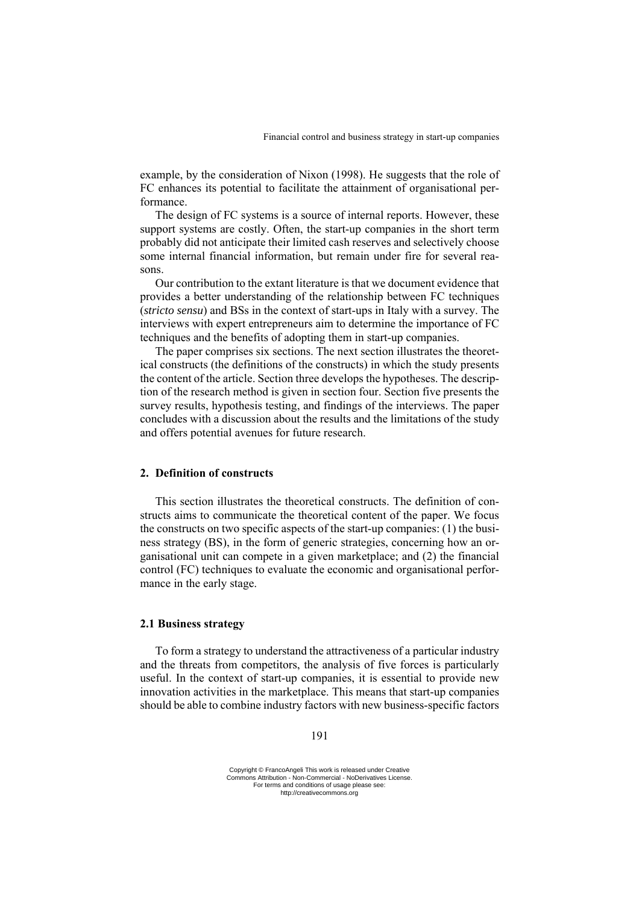example, by the consideration of Nixon (1998). He suggests that the role of FC enhances its potential to facilitate the attainment of organisational performance.

The design of FC systems is a source of internal reports. However, these support systems are costly. Often, the start-up companies in the short term probably did not anticipate their limited cash reserves and selectively choose some internal financial information, but remain under fire for several reasons.

Our contribution to the extant literature is that we document evidence that provides a better understanding of the relationship between FC techniques (*stricto sensu*) and BSs in the context of start-ups in Italy with a survey. The interviews with expert entrepreneurs aim to determine the importance of FC techniques and the benefits of adopting them in start-up companies.

The paper comprises six sections. The next section illustrates the theoretical constructs (the definitions of the constructs) in which the study presents the content of the article. Section three develops the hypotheses. The description of the research method is given in section four. Section five presents the survey results, hypothesis testing, and findings of the interviews. The paper concludes with a discussion about the results and the limitations of the study and offers potential avenues for future research.

# **2. Definition of constructs**

This section illustrates the theoretical constructs. The definition of constructs aims to communicate the theoretical content of the paper. We focus the constructs on two specific aspects of the start-up companies: (1) the business strategy (BS), in the form of generic strategies, concerning how an organisational unit can compete in a given marketplace; and (2) the financial control (FC) techniques to evaluate the economic and organisational performance in the early stage.

## **2.1 Business strategy**

To form a strategy to understand the attractiveness of a particular industry and the threats from competitors, the analysis of five forces is particularly useful. In the context of start-up companies, it is essential to provide new innovation activities in the marketplace. This means that start-up companies should be able to combine industry factors with new business-specific factors

#### 191

Copyright © FrancoAngeli This work is released under Creative Commons Attribution - Non-Commercial - NoDerivatives License. For terms and conditions of usage please see: http://creativecommons.org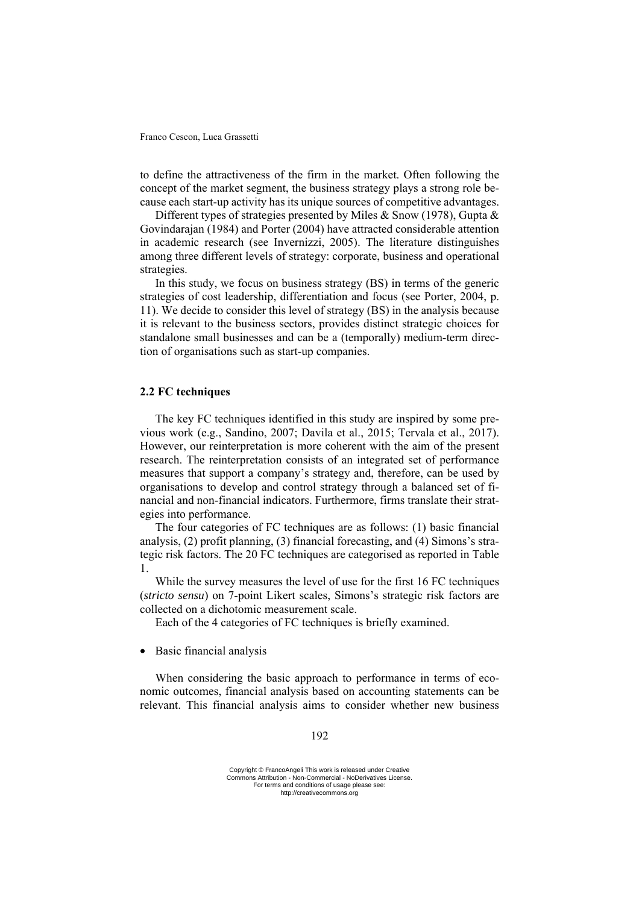to define the attractiveness of the firm in the market. Often following the concept of the market segment, the business strategy plays a strong role because each start-up activity has its unique sources of competitive advantages.

Different types of strategies presented by Miles & Snow (1978), Gupta & Govindarajan (1984) and Porter (2004) have attracted considerable attention in academic research (see Invernizzi, 2005). The literature distinguishes among three different levels of strategy: corporate, business and operational strategies.

In this study, we focus on business strategy (BS) in terms of the generic strategies of cost leadership, differentiation and focus (see Porter, 2004, p. 11). We decide to consider this level of strategy (BS) in the analysis because it is relevant to the business sectors, provides distinct strategic choices for standalone small businesses and can be a (temporally) medium-term direction of organisations such as start-up companies.

# **2.2 FC techniques**

The key FC techniques identified in this study are inspired by some previous work (e.g., Sandino, 2007; Davila et al., 2015; Tervala et al., 2017). However, our reinterpretation is more coherent with the aim of the present research. The reinterpretation consists of an integrated set of performance measures that support a company's strategy and, therefore, can be used by organisations to develop and control strategy through a balanced set of financial and non-financial indicators. Furthermore, firms translate their strategies into performance.

The four categories of FC techniques are as follows: (1) basic financial analysis, (2) profit planning, (3) financial forecasting, and (4) Simons's strategic risk factors. The 20 FC techniques are categorised as reported in Table 1.

While the survey measures the level of use for the first 16 FC techniques (*stricto sensu*) on 7-point Likert scales, Simons's strategic risk factors are collected on a dichotomic measurement scale.

Each of the 4 categories of FC techniques is briefly examined.

• Basic financial analysis

When considering the basic approach to performance in terms of economic outcomes, financial analysis based on accounting statements can be relevant. This financial analysis aims to consider whether new business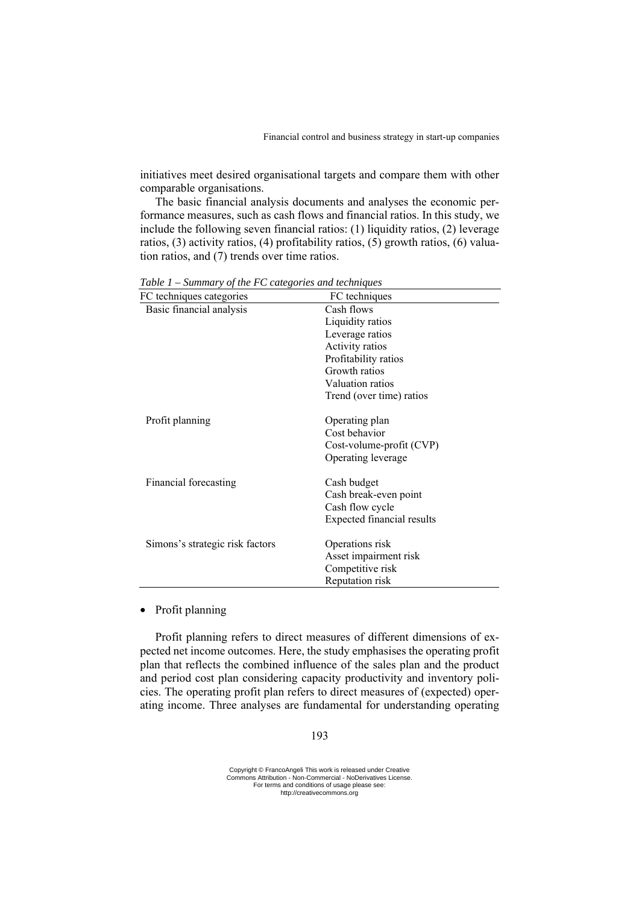initiatives meet desired organisational targets and compare them with other comparable organisations.

The basic financial analysis documents and analyses the economic performance measures, such as cash flows and financial ratios. In this study, we include the following seven financial ratios: (1) liquidity ratios, (2) leverage ratios, (3) activity ratios, (4) profitability ratios, (5) growth ratios, (6) valuation ratios, and (7) trends over time ratios.

| FC techniques categories        | FC techniques              |
|---------------------------------|----------------------------|
| Basic financial analysis        | Cash flows                 |
|                                 | Liquidity ratios           |
|                                 | Leverage ratios            |
|                                 | Activity ratios            |
|                                 | Profitability ratios       |
|                                 | Growth ratios              |
|                                 | Valuation ratios           |
|                                 | Trend (over time) ratios   |
| Profit planning                 | Operating plan             |
|                                 | Cost behavior              |
|                                 | Cost-volume-profit (CVP)   |
|                                 | Operating leverage         |
| Financial forecasting           | Cash budget                |
|                                 | Cash break-even point      |
|                                 | Cash flow cycle            |
|                                 | Expected financial results |
| Simons's strategic risk factors | Operations risk            |
|                                 | Asset impairment risk      |
|                                 | Competitive risk           |
|                                 | Reputation risk            |

*Table 1 – Summary of the FC categories and techniques* 

# • Profit planning

Profit planning refers to direct measures of different dimensions of expected net income outcomes. Here, the study emphasises the operating profit plan that reflects the combined influence of the sales plan and the product and period cost plan considering capacity productivity and inventory policies. The operating profit plan refers to direct measures of (expected) operating income. Three analyses are fundamental for understanding operating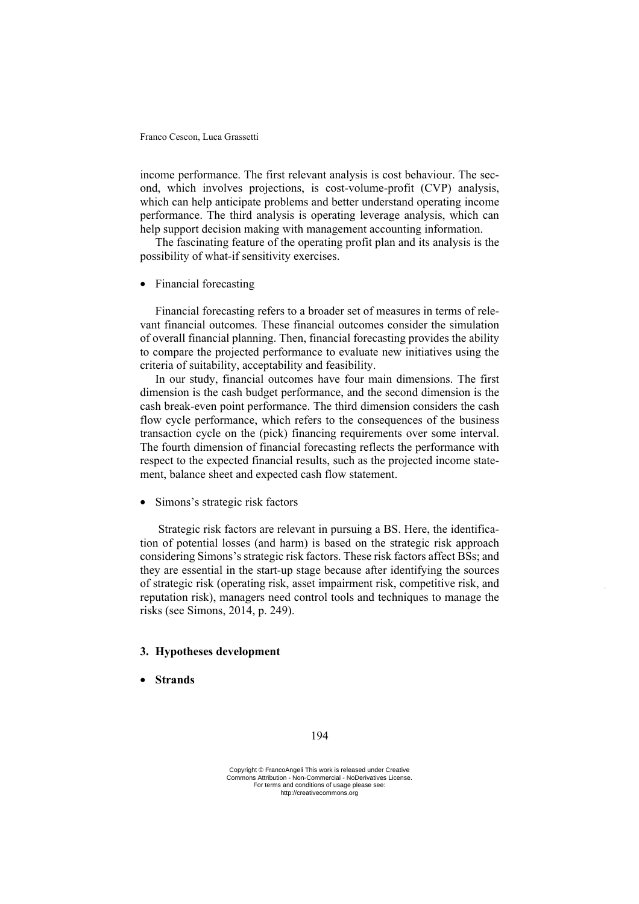income performance. The first relevant analysis is cost behaviour. The second, which involves projections, is cost-volume-profit (CVP) analysis, which can help anticipate problems and better understand operating income performance. The third analysis is operating leverage analysis, which can help support decision making with management accounting information.

The fascinating feature of the operating profit plan and its analysis is the possibility of what-if sensitivity exercises.

• Financial forecasting

Financial forecasting refers to a broader set of measures in terms of relevant financial outcomes. These financial outcomes consider the simulation of overall financial planning. Then, financial forecasting provides the ability to compare the projected performance to evaluate new initiatives using the criteria of suitability, acceptability and feasibility.

In our study, financial outcomes have four main dimensions. The first dimension is the cash budget performance, and the second dimension is the cash break-even point performance. The third dimension considers the cash flow cycle performance, which refers to the consequences of the business transaction cycle on the (pick) financing requirements over some interval. The fourth dimension of financial forecasting reflects the performance with respect to the expected financial results, such as the projected income statement, balance sheet and expected cash flow statement.

• Simons's strategic risk factors

 Strategic risk factors are relevant in pursuing a BS. Here, the identification of potential losses (and harm) is based on the strategic risk approach considering Simons's strategic risk factors. These risk factors affect BSs; and they are essential in the start-up stage because after identifying the sources of strategic risk (operating risk, asset impairment risk, competitive risk, and reputation risk), managers need control tools and techniques to manage the risks (see Simons, 2014, p. 249).

## **3. Hypotheses development**

• **Strands**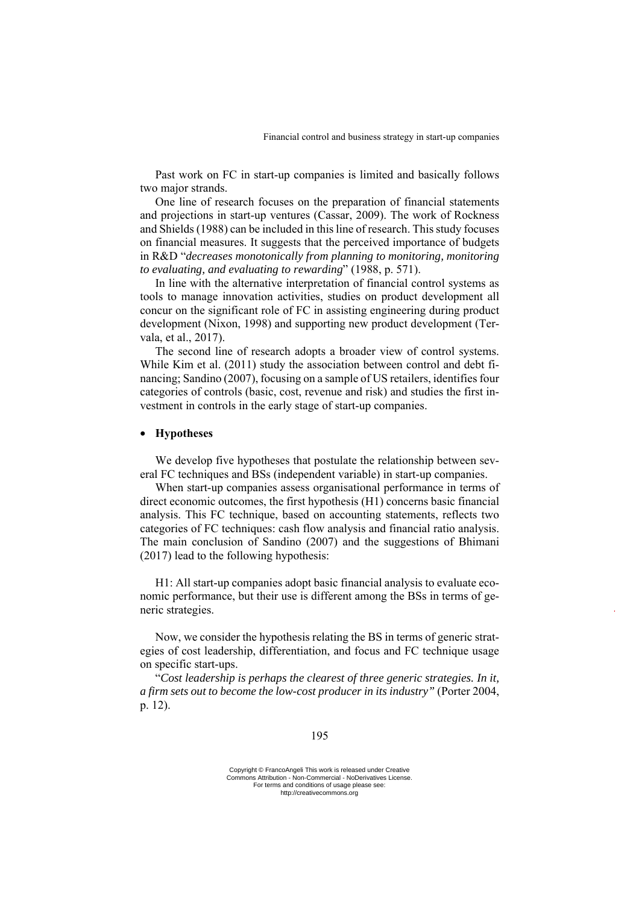Past work on FC in start-up companies is limited and basically follows two major strands.

One line of research focuses on the preparation of financial statements and projections in start-up ventures (Cassar, 2009). The work of Rockness and Shields (1988) can be included in this line of research. This study focuses on financial measures. It suggests that the perceived importance of budgets in R&D "*decreases monotonically from planning to monitoring, monitoring to evaluating, and evaluating to rewarding*" (1988, p. 571).

In line with the alternative interpretation of financial control systems as tools to manage innovation activities, studies on product development all concur on the significant role of FC in assisting engineering during product development (Nixon, 1998) and supporting new product development (Tervala, et al., 2017).

The second line of research adopts a broader view of control systems. While Kim et al. (2011) study the association between control and debt financing; Sandino (2007), focusing on a sample of US retailers, identifies four categories of controls (basic, cost, revenue and risk) and studies the first investment in controls in the early stage of start-up companies.

# • **Hypotheses**

We develop five hypotheses that postulate the relationship between several FC techniques and BSs (independent variable) in start-up companies.

When start-up companies assess organisational performance in terms of direct economic outcomes, the first hypothesis (H1) concerns basic financial analysis. This FC technique, based on accounting statements, reflects two categories of FC techniques: cash flow analysis and financial ratio analysis. The main conclusion of Sandino (2007) and the suggestions of Bhimani (2017) lead to the following hypothesis:

H1: All start-up companies adopt basic financial analysis to evaluate economic performance, but their use is different among the BSs in terms of generic strategies.

Now, we consider the hypothesis relating the BS in terms of generic strategies of cost leadership, differentiation, and focus and FC technique usage on specific start-ups.

"*Cost leadership is perhaps the clearest of three generic strategies. In it, a firm sets out to become the low-cost producer in its industry"* (Porter 2004, p. 12).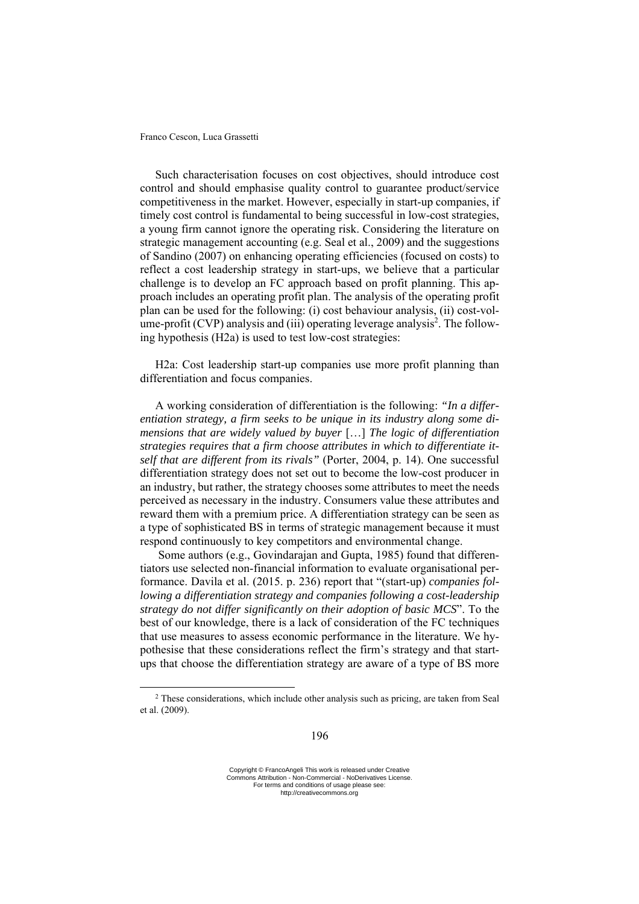Such characterisation focuses on cost objectives, should introduce cost control and should emphasise quality control to guarantee product/service competitiveness in the market. However, especially in start-up companies, if timely cost control is fundamental to being successful in low-cost strategies, a young firm cannot ignore the operating risk. Considering the literature on strategic management accounting (e.g. Seal et al., 2009) and the suggestions of Sandino (2007) on enhancing operating efficiencies (focused on costs) to reflect a cost leadership strategy in start-ups, we believe that a particular challenge is to develop an FC approach based on profit planning. This approach includes an operating profit plan. The analysis of the operating profit plan can be used for the following: (i) cost behaviour analysis, (ii) cost-volume-profit (CVP) analysis and (iii) operating leverage analysis<sup>2</sup>. The following hypothesis (H2a) is used to test low-cost strategies:

H2a: Cost leadership start-up companies use more profit planning than differentiation and focus companies.

A working consideration of differentiation is the following: *"In a differentiation strategy, a firm seeks to be unique in its industry along some dimensions that are widely valued by buyer* […] *The logic of differentiation strategies requires that a firm choose attributes in which to differentiate itself that are different from its rivals"* (Porter, 2004, p. 14). One successful differentiation strategy does not set out to become the low-cost producer in an industry, but rather, the strategy chooses some attributes to meet the needs perceived as necessary in the industry. Consumers value these attributes and reward them with a premium price. A differentiation strategy can be seen as a type of sophisticated BS in terms of strategic management because it must respond continuously to key competitors and environmental change.

 Some authors (e.g., Govindarajan and Gupta, 1985) found that differentiators use selected non-financial information to evaluate organisational performance. Davila et al. (2015. p. 236) report that "(start-up) *companies following a differentiation strategy and companies following a cost-leadership strategy do not differ significantly on their adoption of basic MCS*". To the best of our knowledge, there is a lack of consideration of the FC techniques that use measures to assess economic performance in the literature. We hypothesise that these considerations reflect the firm's strategy and that startups that choose the differentiation strategy are aware of a type of BS more

<sup>2</sup> These considerations, which include other analysis such as pricing, are taken from Seal et al. (2009).

Copyright © FrancoAngeli This work is released under Creative Commons Attribution - Non-Commercial - NoDerivatives License. For terms and conditions of usage please see: http://creativecommons.org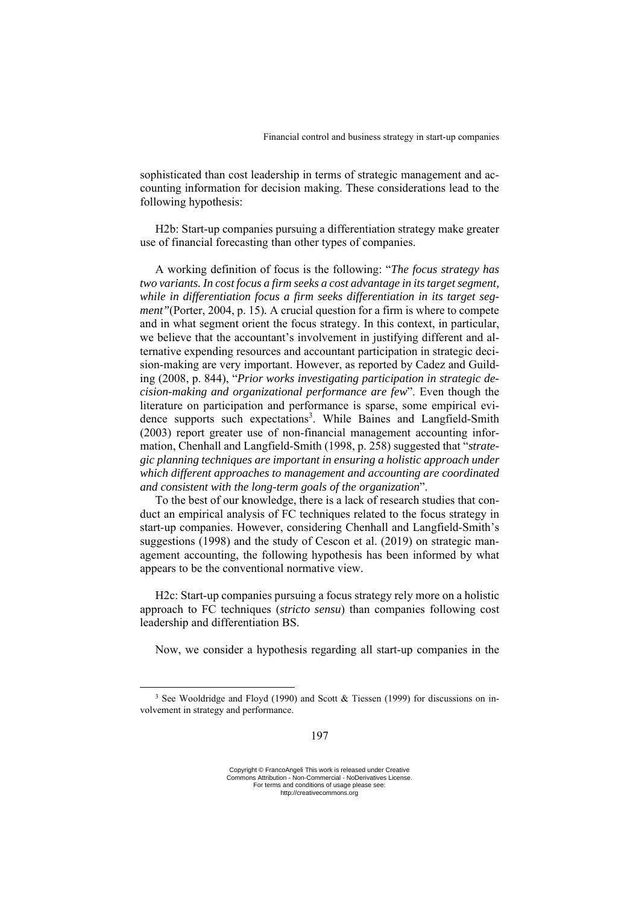sophisticated than cost leadership in terms of strategic management and accounting information for decision making. These considerations lead to the following hypothesis:

H2b: Start-up companies pursuing a differentiation strategy make greater use of financial forecasting than other types of companies.

A working definition of focus is the following: "*The focus strategy has two variants. In cost focus a firm seeks a cost advantage in its target segment, while in differentiation focus a firm seeks differentiation in its target segment"*(Porter, 2004, p. 15)*.* A crucial question for a firm is where to compete and in what segment orient the focus strategy. In this context, in particular, we believe that the accountant's involvement in justifying different and alternative expending resources and accountant participation in strategic decision-making are very important. However, as reported by Cadez and Guilding (2008, p. 844), "*Prior works investigating participation in strategic decision-making and organizational performance are few*". Even though the literature on participation and performance is sparse, some empirical evidence supports such expectations<sup>3</sup>. While Baines and Langfield-Smith (2003) report greater use of non-financial management accounting information, Chenhall and Langfield-Smith (1998, p. 258) suggested that "*strategic planning techniques are important in ensuring a holistic approach under which different approaches to management and accounting are coordinated and consistent with the long-term goals of the organization*".

To the best of our knowledge, there is a lack of research studies that conduct an empirical analysis of FC techniques related to the focus strategy in start-up companies. However, considering Chenhall and Langfield-Smith's suggestions (1998) and the study of Cescon et al. (2019) on strategic management accounting, the following hypothesis has been informed by what appears to be the conventional normative view.

H2c: Start-up companies pursuing a focus strategy rely more on a holistic approach to FC techniques (*stricto sensu*) than companies following cost leadership and differentiation BS.

Now, we consider a hypothesis regarding all start-up companies in the

<sup>&</sup>lt;sup>3</sup> See Wooldridge and Floyd (1990) and Scott & Tiessen (1999) for discussions on involvement in strategy and performance.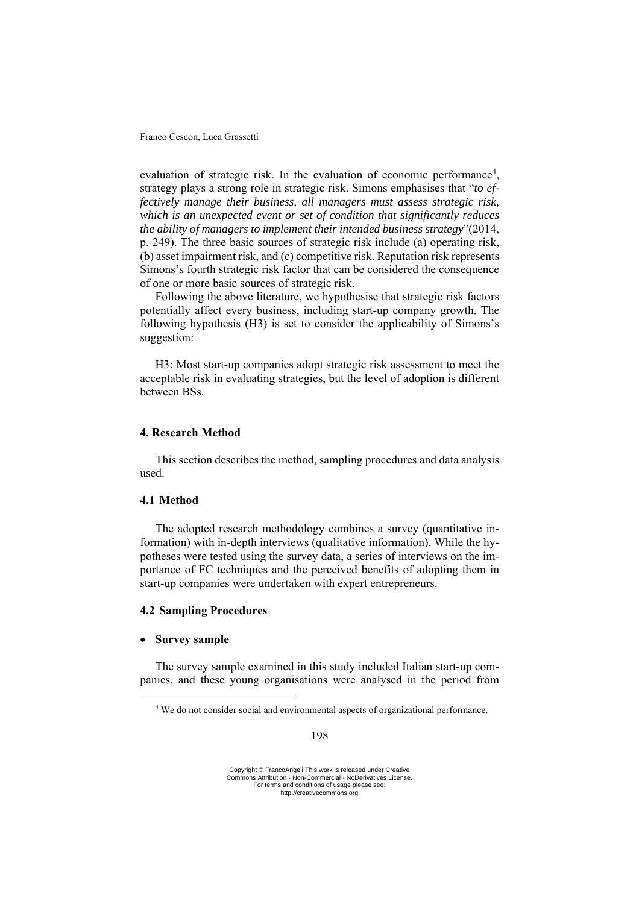evaluation of strategic risk. In the evaluation of economic performance<sup>4</sup>, strategy plays a strong role in strategic risk. Simons emphasises that "*to effectively manage their business, all managers must assess strategic risk, which is an unexpected event or set of condition that significantly reduces the ability of managers to implement their intended business strategy*"(2014, p. 249). The three basic sources of strategic risk include (a) operating risk, (b) asset impairment risk, and (c) competitive risk. Reputation risk represents Simons's fourth strategic risk factor that can be considered the consequence of one or more basic sources of strategic risk.

Following the above literature, we hypothesise that strategic risk factors potentially affect every business, including start-up company growth. The following hypothesis (H3) is set to consider the applicability of Simons's suggestion:

H3: Most start-up companies adopt strategic risk assessment to meet the acceptable risk in evaluating strategies, but the level of adoption is different between BSs.

# **4. Research Method**

This section describes the method, sampling procedures and data analysis used.

## **4.1 Method**

The adopted research methodology combines a survey (quantitative information) with in-depth interviews (qualitative information). While the hypotheses were tested using the survey data, a series of interviews on the importance of FC techniques and the perceived benefits of adopting them in start-up companies were undertaken with expert entrepreneurs.

## **4.2 Sampling Procedures**

## • **Survey sample**

The survey sample examined in this study included Italian start-up companies, and these young organisations were analysed in the period from

<sup>4</sup> We do not consider social and environmental aspects of organizational performance.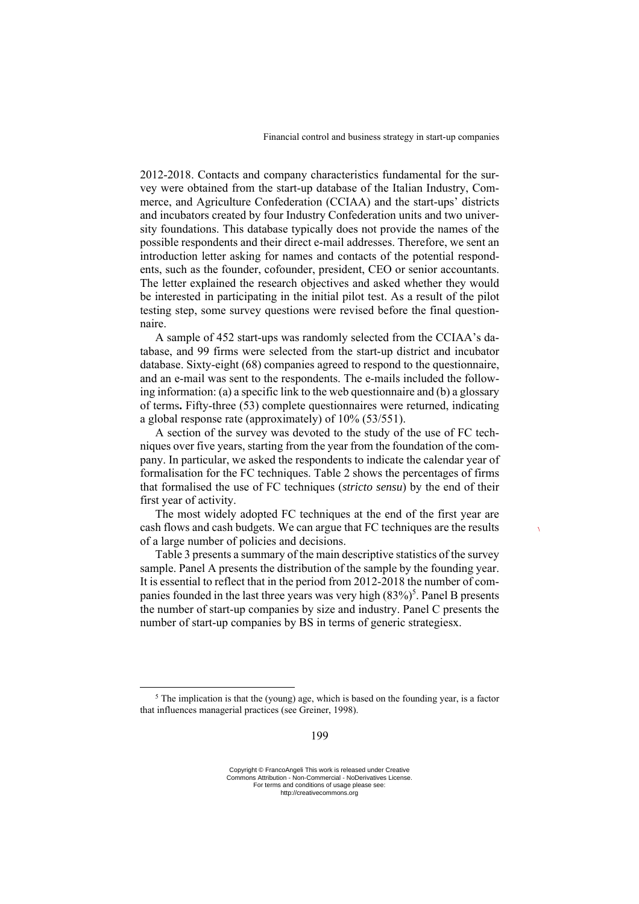2012-2018. Contacts and company characteristics fundamental for the survey were obtained from the start-up database of the Italian Industry, Commerce, and Agriculture Confederation (CCIAA) and the start-ups' districts and incubators created by four Industry Confederation units and two university foundations. This database typically does not provide the names of the possible respondents and their direct e-mail addresses. Therefore, we sent an introduction letter asking for names and contacts of the potential respondents, such as the founder, cofounder, president, CEO or senior accountants. The letter explained the research objectives and asked whether they would be interested in participating in the initial pilot test. As a result of the pilot testing step, some survey questions were revised before the final questionnaire.

A sample of 452 start-ups was randomly selected from the CCIAA's database, and 99 firms were selected from the start-up district and incubator database. Sixty-eight (68) companies agreed to respond to the questionnaire, and an e-mail was sent to the respondents. The e-mails included the following information: (a) a specific link to the web questionnaire and (b) a glossary of terms**.** Fifty-three (53) complete questionnaires were returned, indicating a global response rate (approximately) of 10% (53/551).

A section of the survey was devoted to the study of the use of FC techniques over five years, starting from the year from the foundation of the company. In particular, we asked the respondents to indicate the calendar year of formalisation for the FC techniques. Table 2 shows the percentages of firms that formalised the use of FC techniques (*stricto sensu*) by the end of their first year of activity.

The most widely adopted FC techniques at the end of the first year are cash flows and cash budgets. We can argue that FC techniques are the results of a large number of policies and decisions.

Table 3 presents a summary of the main descriptive statistics of the survey sample. Panel A presents the distribution of the sample by the founding year. It is essential to reflect that in the period from 2012-2018 the number of companies founded in the last three years was very high  $(83\%)^5$ . Panel B presents the number of start-up companies by size and industry. Panel C presents the number of start-up companies by BS in terms of generic strategiesx.

 $5$  The implication is that the (young) age, which is based on the founding year, is a factor that influences managerial practices (see Greiner, 1998).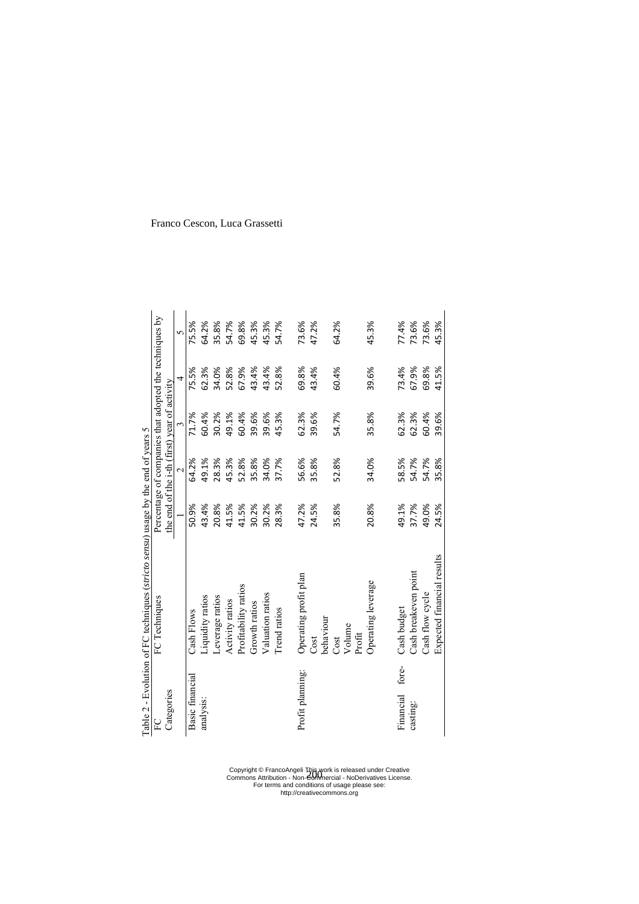Table 2 - Evolution of FC techniques (stricto sensu) usage by the end of years 5 Table 2 - Evolution of FC techniques (*stricto sensu*) usage by the end of years 5

| $\sum_{i=1}^{n}$ | FC Techniques              |       |                                              |       | Percentage of companies that adopted the techniques by |              |
|------------------|----------------------------|-------|----------------------------------------------|-------|--------------------------------------------------------|--------------|
| Categories       |                            |       | the end of the i-th (first) year of activity |       |                                                        |              |
|                  |                            |       | $\sim$                                       |       | 4                                                      | $\mathbf{v}$ |
| Basic financial  | Cash Flows                 | 50.9% | 64.2%                                        | 71.7% | 75.5%                                                  | 75.5%        |
| analysis:        | Liquidity ratios           | 43.4% | 49.1%                                        | 60.4% | 62.3%                                                  | 64.2%        |
|                  | Leverage ratios            | 20.8% | 28.3%                                        | 30.2% | 34.0%                                                  | 35.8%        |
|                  | Activity ratios            | 41.5% | 45.3%                                        | 49.1% | 52.8%                                                  | 54.7%        |
|                  | Profitability ratios       | 41.5% | 52.8%                                        | 60.4% | 67.9%                                                  | 69.8%        |
|                  | Growth ratios              | 30.2% | 35.8%                                        | 39.6% | 43.4%                                                  | 45.3%        |
|                  | Valuation ratios           | 30.2% | 34.0%                                        | 39.6% | 43.4%                                                  | 45.3%        |
|                  | Trend ratios               | 28.3% | 37.7%                                        | 45.3% | 52.8%                                                  | 54.7%        |
| Profit planning: | Operating profit plan      | 47.2% | 56.6%                                        | 62.3% | 69.8%                                                  | 73.6%        |
|                  | Cost                       | 24.5% | 35.8%                                        | 39.6% | 43.4%                                                  | 47.2%        |
|                  | behaviour                  |       |                                              |       |                                                        |              |
|                  | Volume<br>Cost             | 35.8% | 52.8%                                        | 54.7% | 60.4%                                                  | 64.2%        |
|                  | Profit                     |       |                                              |       |                                                        |              |
|                  | Operating leverage         | 20.8% | 34.0%                                        | 35.8% | 39.6%                                                  | 45.3%        |
|                  |                            |       |                                              |       |                                                        |              |
| Financial fore-  | Cash budget                | 49.1% | 58.5%                                        | 62.3% | 73.4%                                                  | 77.4%        |
| casting:         | Cash breakeven point       | 37.7% | 54.7%                                        | 62.3% | 67.9%                                                  | 73.6%        |
|                  | Cash flow cycle            | 49.0% | 54.7%                                        | 60.4% | 69.8%                                                  | 73.6%        |
|                  | Expected financial results | 24.5% | 35.8%                                        | 39.6% | 41.5%                                                  | 45.3%        |

Franco Cescon, Luca Grassetti

Copyright © FrancoAngeli This work is released under Creative Commons Attribution - Non-Commercial - NoDerivatives License. For terms and conditions of usage please see: http://creativecommons.org 200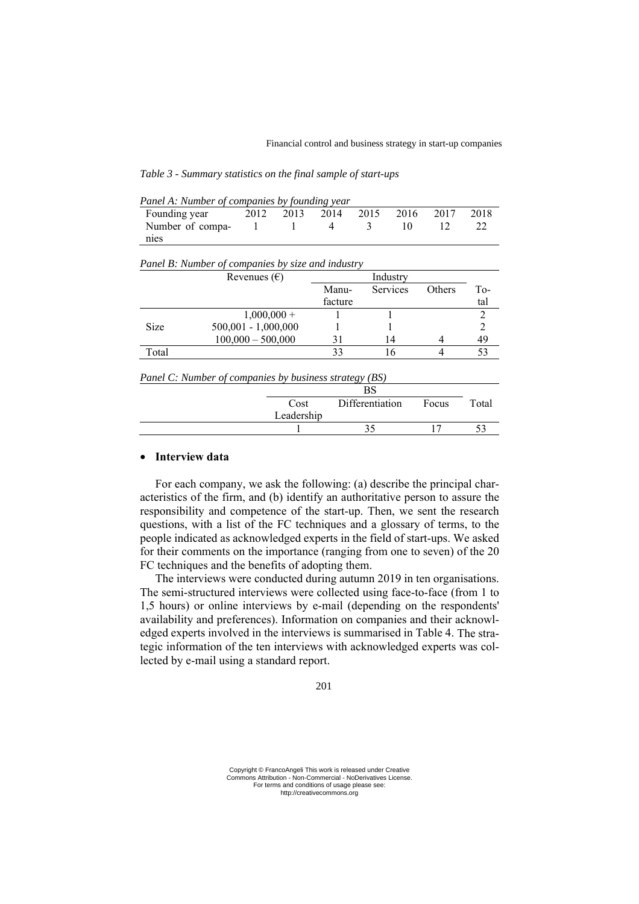| Panel A: Number of companies by founding year |      |      |      |      |              |      |
|-----------------------------------------------|------|------|------|------|--------------|------|
| Founding year                                 | 2012 | 2013 | 2014 | 2015 | 2016 2017    | 2018 |
| Number of compa-                              |      |      | 4    | -3   | $\mathbf{u}$ |      |
| nies                                          |      |      |      |      |              |      |

| Panel B: Number of companies by size and industry |  |  |
|---------------------------------------------------|--|--|
|---------------------------------------------------|--|--|

|             | Revenues $(\epsilon)$ |         |                 |               |     |
|-------------|-----------------------|---------|-----------------|---------------|-----|
|             |                       | Manu-   | <b>Services</b> | <b>Others</b> | To- |
|             |                       | facture |                 |               | tal |
|             | $1,000,000+$          |         |                 |               |     |
| <b>Size</b> | $500,001 - 1,000,000$ |         |                 |               |     |
|             | $100,000 - 500,000$   |         | 14              |               | 49  |
| Total       |                       | 33      |                 |               |     |
|             |                       |         |                 |               |     |

*Panel C: Number of companies by business strategy (BS)* 

|            | n a<br>DJ       |       |       |
|------------|-----------------|-------|-------|
| Cost       | Differentiation | Focus | Total |
| Leadership |                 |       |       |
|            |                 |       |       |

# • **Interview data**

For each company, we ask the following: (a) describe the principal characteristics of the firm, and (b) identify an authoritative person to assure the responsibility and competence of the start-up. Then, we sent the research questions, with a list of the FC techniques and a glossary of terms, to the people indicated as acknowledged experts in the field of start-ups. We asked for their comments on the importance (ranging from one to seven) of the 20 FC techniques and the benefits of adopting them.

The interviews were conducted during autumn 2019 in ten organisations. The semi-structured interviews were collected using face-to-face (from 1 to 1,5 hours) or online interviews by e-mail (depending on the respondents' availability and preferences). Information on companies and their acknowledged experts involved in the interviews is summarised in Table 4. The strategic information of the ten interviews with acknowledged experts was collected by e-mail using a standard report.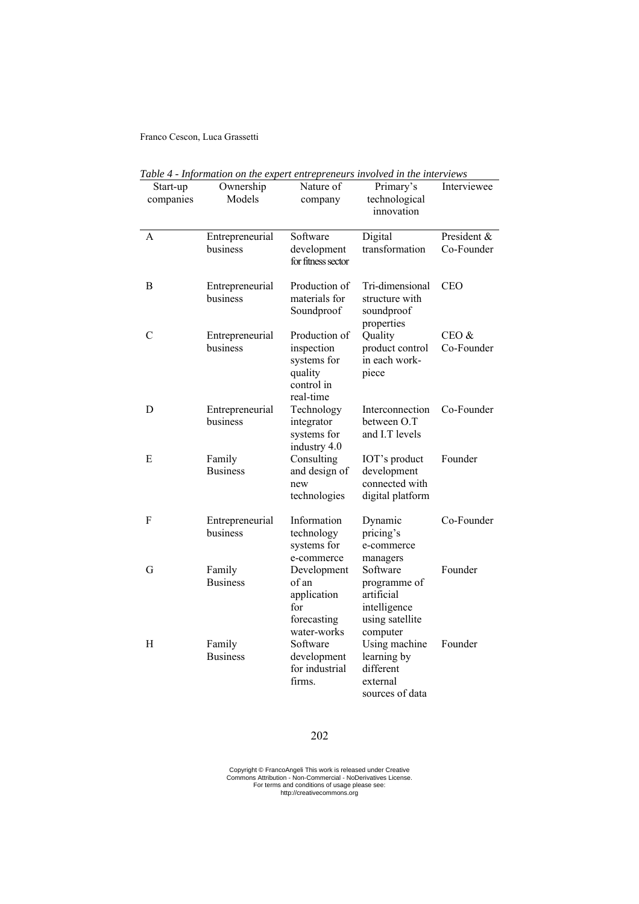|                       | nyomanon'on me experi entrepreneurs involvea in the therme ws |                                                                                  |                                                                                       |                           |
|-----------------------|---------------------------------------------------------------|----------------------------------------------------------------------------------|---------------------------------------------------------------------------------------|---------------------------|
| Start-up<br>companies | Ownership<br>Models                                           | Nature of<br>company                                                             | Primary's<br>technological<br>innovation                                              | Interviewee               |
| A                     | Entrepreneurial<br>business                                   | Software<br>development<br>for fitness sector                                    | Digital<br>transformation                                                             | President &<br>Co-Founder |
| Β                     | Entrepreneurial<br>business                                   | Production of<br>materials for<br>Soundproof                                     | Tri-dimensional<br>structure with<br>soundproof<br>properties                         | <b>CEO</b>                |
| $\mathcal{C}$         | Entrepreneurial<br>business                                   | Production of<br>inspection<br>systems for<br>quality<br>control in<br>real-time | Quality<br>product control<br>in each work-<br>piece                                  | $CEO$ $&$<br>Co-Founder   |
| D                     | Entrepreneurial<br>business                                   | Technology<br>integrator<br>systems for<br>industry 4.0                          | Interconnection<br>between O.T<br>and I.T levels                                      | Co-Founder                |
| E                     | Family<br><b>Business</b>                                     | Consulting<br>and design of<br>new<br>technologies                               | IOT's product<br>development<br>connected with<br>digital platform                    | Founder                   |
| F                     | Entrepreneurial<br>business                                   | Information<br>technology<br>systems for<br>e-commerce                           | Dynamic<br>pricing's<br>e-commerce<br>managers                                        | Co-Founder                |
| G                     | Family<br><b>Business</b>                                     | Development<br>of an<br>application<br>for<br>forecasting<br>water-works         | Software<br>programme of<br>artificial<br>intelligence<br>using satellite<br>computer | Founder                   |
| H                     | Family<br><b>Business</b>                                     | Software<br>development<br>for industrial<br>firms.                              | Using machine<br>learning by<br>different<br>external<br>sources of data              | Founder                   |

*Table 4 - Information on the expert entrepreneurs involved in the interviews*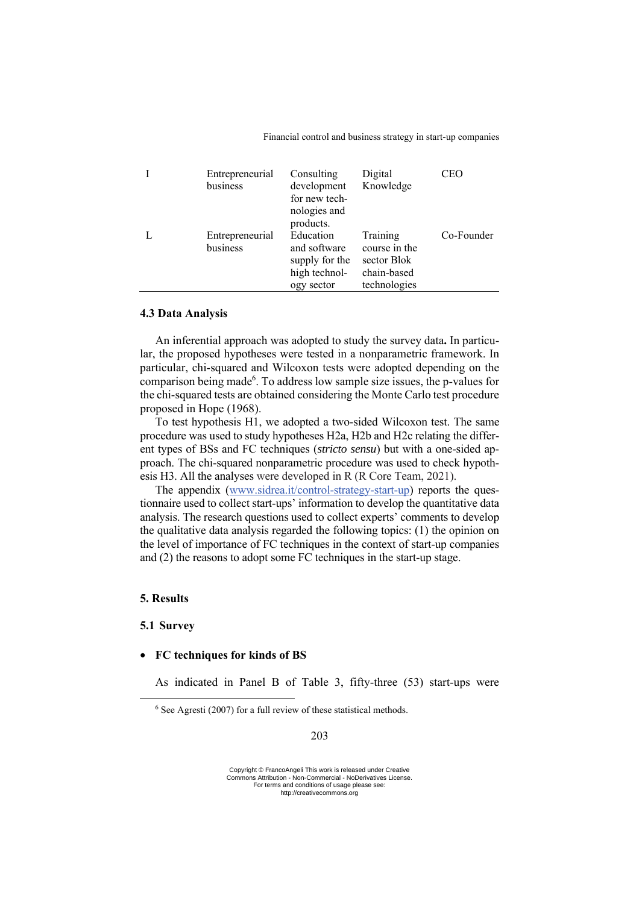| Entrepreneurial<br>business | Consulting<br>development<br>for new tech-<br>nologies and<br>products.    | Digital<br>Knowledge                                                    | CEO        |
|-----------------------------|----------------------------------------------------------------------------|-------------------------------------------------------------------------|------------|
| Entrepreneurial<br>business | Education<br>and software<br>supply for the<br>high technol-<br>ogy sector | Training<br>course in the<br>sector Blok<br>chain-based<br>technologies | Co-Founder |

## **4.3 Data Analysis**

An inferential approach was adopted to study the survey data**.** In particular, the proposed hypotheses were tested in a nonparametric framework. In particular, chi-squared and Wilcoxon tests were adopted depending on the comparison being made<sup>6</sup>. To address low sample size issues, the p-values for the chi-squared tests are obtained considering the Monte Carlo test procedure proposed in Hope (1968).

To test hypothesis H1, we adopted a two-sided Wilcoxon test. The same procedure was used to study hypotheses H2a, H2b and H2c relating the different types of BSs and FC techniques (*stricto sensu*) but with a one-sided approach. The chi-squared nonparametric procedure was used to check hypothesis H3. All the analyses were developed in R (R Core Team, 2021).

The appendix (www.sidrea.it/control-strategy-start-up) reports the questionnaire used to collect start-ups' information to develop the quantitative data analysis. The research questions used to collect experts' comments to develop the qualitative data analysis regarded the following topics: (1) the opinion on the level of importance of FC techniques in the context of start-up companies and (2) the reasons to adopt some FC techniques in the start-up stage.

# **5. Results**

#### **5.1 Survey**

## • **FC techniques for kinds of BS**

As indicated in Panel B of Table 3, fifty-three (53) start-ups were

 $6$  See Agresti (2007) for a full review of these statistical methods.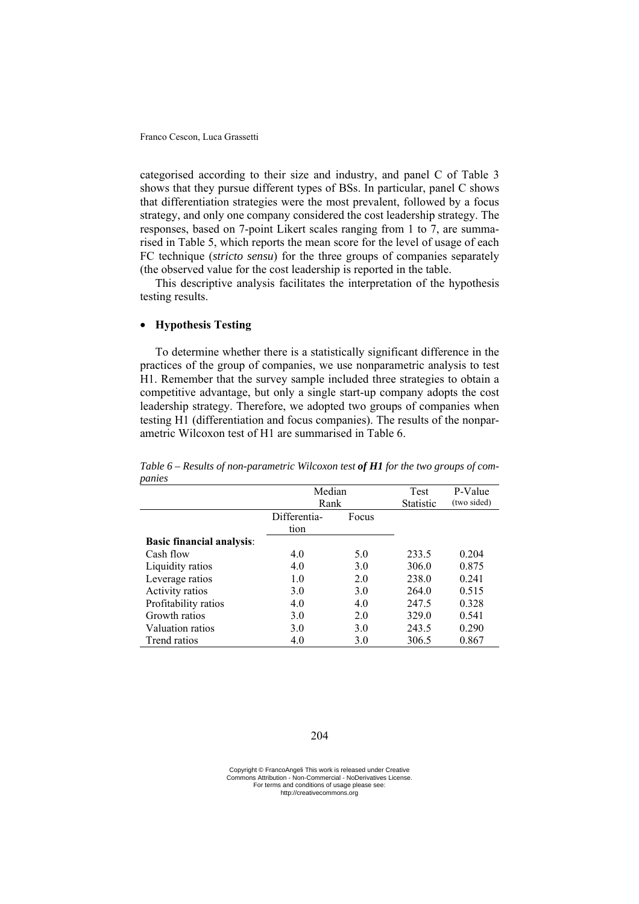categorised according to their size and industry, and panel C of Table 3 shows that they pursue different types of BSs. In particular, panel C shows that differentiation strategies were the most prevalent, followed by a focus strategy, and only one company considered the cost leadership strategy. The responses, based on 7-point Likert scales ranging from 1 to 7, are summarised in Table 5, which reports the mean score for the level of usage of each FC technique (*stricto sensu*) for the three groups of companies separately (the observed value for the cost leadership is reported in the table.

This descriptive analysis facilitates the interpretation of the hypothesis testing results.

# • **Hypothesis Testing**

To determine whether there is a statistically significant difference in the practices of the group of companies, we use nonparametric analysis to test H1. Remember that the survey sample included three strategies to obtain a competitive advantage, but only a single start-up company adopts the cost leadership strategy. Therefore, we adopted two groups of companies when testing H1 (differentiation and focus companies). The results of the nonparametric Wilcoxon test of H1 are summarised in Table 6.

|                                  | Median<br>Rank       |       | <b>Test</b><br>Statistic | P-Value<br>(two sided) |
|----------------------------------|----------------------|-------|--------------------------|------------------------|
|                                  | Differentia-<br>tion | Focus |                          |                        |
| <b>Basic financial analysis:</b> |                      |       |                          |                        |
| Cash flow                        | 4.0                  | 5.0   | 233.5                    | 0.204                  |
| Liquidity ratios                 | 4.0                  | 3.0   | 306.0                    | 0.875                  |
| Leverage ratios                  | 1.0                  | 2.0   | 238.0                    | 0.241                  |
| Activity ratios                  | 3.0                  | 3.0   | 264.0                    | 0.515                  |
| Profitability ratios             | 4.0                  | 4.0   | 247.5                    | 0.328                  |
| Growth ratios                    | 3.0                  | 2.0   | 329.0                    | 0.541                  |
| Valuation ratios                 | 3.0                  | 3.0   | 243.5                    | 0.290                  |
| Trend ratios                     | 4.0                  | 3.0   | 306.5                    | 0.867                  |

*Table 6 – Results of non-parametric Wilcoxon test of H1 for the two groups of companies* 

Copyright © FrancoAngeli This work is released under Creative Commons Attribution - Non-Commercial - NoDerivatives License. For terms and conditions of usage please see: http://creativecommons.org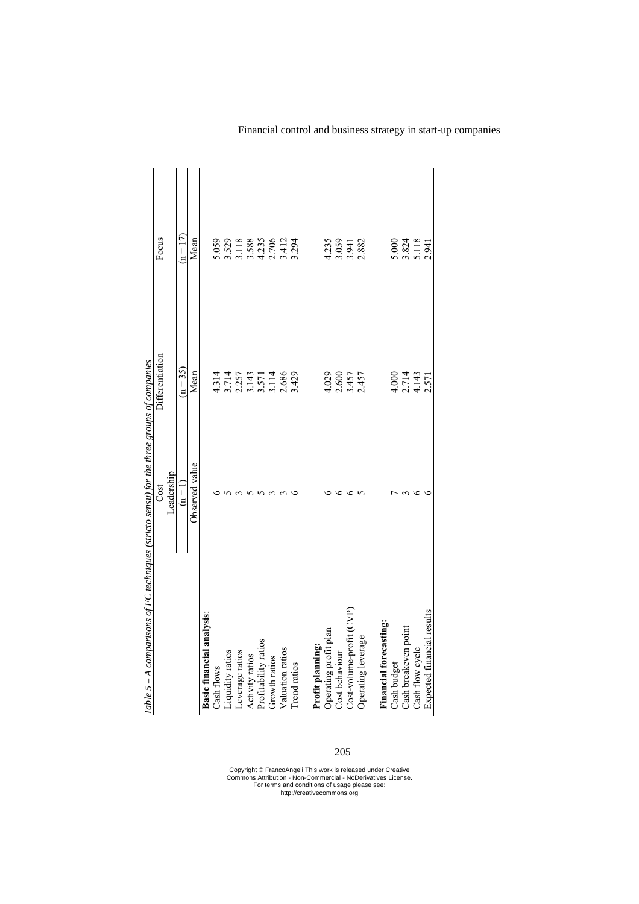| Table $5 - A$ comparisons of FC techniques (stricto sensu) for the three groups of companies |                |                                                                |                                                |
|----------------------------------------------------------------------------------------------|----------------|----------------------------------------------------------------|------------------------------------------------|
|                                                                                              | Cost           | Differentiation                                                | Focus                                          |
|                                                                                              | Leadership     |                                                                |                                                |
|                                                                                              | $(n = 1)$      | $(n = 35)$                                                     | $(n = 17)$                                     |
|                                                                                              | Observed value | Mean                                                           | Mean                                           |
| Basic financial analysis:                                                                    |                |                                                                |                                                |
| Cash flows                                                                                   |                | 4.314                                                          | 5.059                                          |
| Liquidity ratios                                                                             |                |                                                                |                                                |
| Leverage ratios                                                                              |                |                                                                |                                                |
| Activity ratios                                                                              |                |                                                                |                                                |
| Profitability ratios                                                                         |                |                                                                |                                                |
| Growth ratios                                                                                |                |                                                                |                                                |
| Valuation ratios                                                                             |                | $3.714$<br>$2.257$<br>$3.143$<br>$3.571$<br>$3.143$<br>$3.429$ | 3.529<br>3.11888<br>3.3885<br>4.2706<br>4.1294 |
| Trend ratios                                                                                 |                |                                                                |                                                |
| Profit planning:                                                                             |                |                                                                |                                                |
| Operating profit plan                                                                        |                |                                                                |                                                |
| Cost behaviour                                                                               |                | $4.029$<br>$2.600$<br>$2.457$<br>$2.457$                       | 4.235<br>5.059<br>5.882<br>2.882               |
| Cost-volume-profit (CVP)                                                                     |                |                                                                |                                                |
| Operating leverage                                                                           |                |                                                                |                                                |
| Financial forecasting:                                                                       |                |                                                                |                                                |
| Cash budget                                                                                  |                |                                                                |                                                |
| Cash breakeven point                                                                         |                | 4.000<br>2.7143<br>4.143                                       | 5.000<br>3.824<br>5.118                        |
| Cash flow cycle                                                                              |                |                                                                |                                                |
| Expected financial results                                                                   |                | 2.571                                                          | 2.941                                          |
|                                                                                              |                |                                                                |                                                |

205

Copyright © FrancoAngeli This work is released under Creative Commons Attribution - Non-Commercial - NoDerivatives License. For terms and conditions of usage please see: http://creativecommons.org

# Financial control and business strategy in start-up companies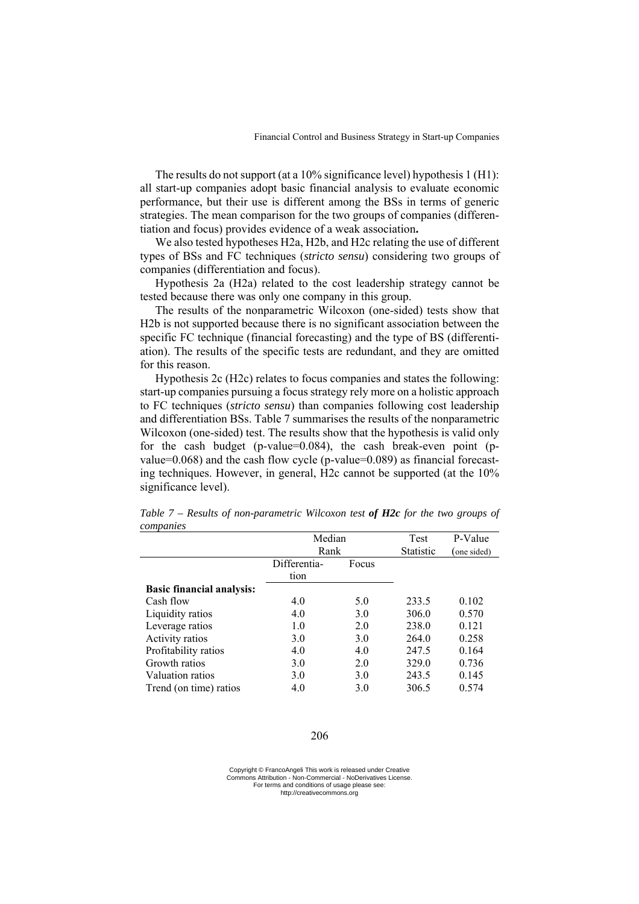The results do not support (at a 10% significance level) hypothesis 1 (H1): all start-up companies adopt basic financial analysis to evaluate economic performance, but their use is different among the BSs in terms of generic strategies. The mean comparison for the two groups of companies (differentiation and focus) provides evidence of a weak association**.** 

We also tested hypotheses H2a, H2b, and H2c relating the use of different types of BSs and FC techniques (*stricto sensu*) considering two groups of companies (differentiation and focus).

Hypothesis 2a (H2a) related to the cost leadership strategy cannot be tested because there was only one company in this group.

The results of the nonparametric Wilcoxon (one-sided) tests show that H2b is not supported because there is no significant association between the specific FC technique (financial forecasting) and the type of BS (differentiation). The results of the specific tests are redundant, and they are omitted for this reason.

Hypothesis 2c (H2c) relates to focus companies and states the following: start-up companies pursuing a focus strategy rely more on a holistic approach to FC techniques (*stricto sensu*) than companies following cost leadership and differentiation BSs. Table 7 summarises the results of the nonparametric Wilcoxon (one-sided) test. The results show that the hypothesis is valid only for the cash budget (p-value= $0.084$ ), the cash break-even point (pvalue=0.068) and the cash flow cycle (p-value=0.089) as financial forecasting techniques. However, in general, H2c cannot be supported (at the 10% significance level).

|                                  | Median       |       | <b>Test</b>      | P-Value    |
|----------------------------------|--------------|-------|------------------|------------|
|                                  | Rank         |       | <b>Statistic</b> | one sided) |
|                                  | Differentia- | Focus |                  |            |
|                                  | tion         |       |                  |            |
| <b>Basic financial analysis:</b> |              |       |                  |            |
| Cash flow                        | 4.0          | 5.0   | 233.5            | 0.102      |
| Liquidity ratios                 | 4.0          | 3.0   | 306.0            | 0.570      |
| Leverage ratios                  | 1.0          | 2.0   | 238.0            | 0.121      |
| Activity ratios                  | 3.0          | 3.0   | 264.0            | 0.258      |
| Profitability ratios             | 4.0          | 4.0   | 247.5            | 0.164      |
| Growth ratios                    | 3.0          | 2.0   | 329.0            | 0.736      |
| Valuation ratios                 | 3.0          | 3.0   | 243.5            | 0.145      |
| Trend (on time) ratios           | 4.0          | 3.0   | 306.5            | 0.574      |

*Table 7 – Results of non-parametric Wilcoxon test of H2c for the two groups of companies* 

Copyright © FrancoAngeli This work is released under Creative Commons Attribution - Non-Commercial - NoDerivatives License. For terms and conditions of usage please see: http://creativecommons.org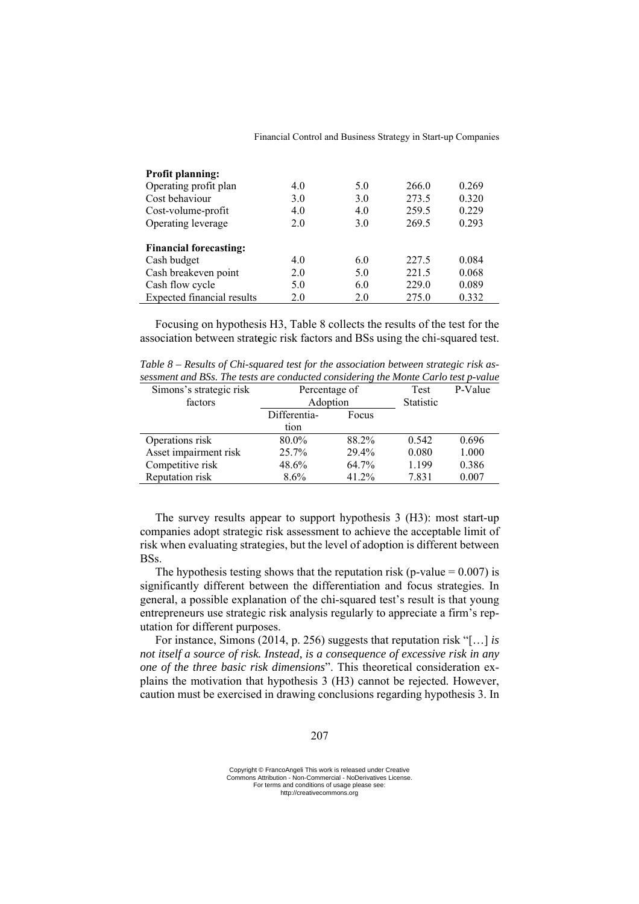| <b>Profit planning:</b>           |     |     |       |       |
|-----------------------------------|-----|-----|-------|-------|
| Operating profit plan             | 4.0 | 5.0 | 266.0 | 0.269 |
| Cost behaviour                    | 3.0 | 3.0 | 273.5 | 0.320 |
| Cost-volume-profit                | 4.0 | 4.0 | 259.5 | 0.229 |
| Operating leverage                | 2.0 | 3.0 | 269.5 | 0.293 |
|                                   |     |     |       |       |
| <b>Financial forecasting:</b>     |     |     |       |       |
| Cash budget                       | 4.0 | 6.0 | 227.5 | 0.084 |
| Cash breakeven point              | 2.0 | 5.0 | 221.5 | 0.068 |
| Cash flow cycle                   | 5.0 | 6.0 | 229.0 | 0.089 |
| <b>Expected financial results</b> | 2.0 | 2.0 | 275.0 | 0.332 |

Focusing on hypothesis H3, Table 8 collects the results of the test for the association between strat**e**gic risk factors and BSs using the chi-squared test.

*Table 8 – Results of Chi-squared test for the association between strategic risk assessment and BSs. The tests are conducted considering the Monte Carlo test p-value* 

| Simons's strategic risk | Percentage of |       | <b>Test</b>      | P-Value |
|-------------------------|---------------|-------|------------------|---------|
| factors                 | Adoption      |       | <b>Statistic</b> |         |
|                         | Differentia-  | Focus |                  |         |
|                         | tion          |       |                  |         |
| Operations risk         | 80.0%         | 88.2% | 0.542            | 0.696   |
| Asset impairment risk   | 25.7%         | 29.4% | 0.080            | 1.000   |
| Competitive risk        | 48.6%         | 64.7% | 1.199            | 0.386   |
| Reputation risk         | $8.6\%$       | 41.2% | 7.831            | 0.007   |

The survey results appear to support hypothesis 3 (H3): most start-up companies adopt strategic risk assessment to achieve the acceptable limit of risk when evaluating strategies, but the level of adoption is different between BSs.

The hypothesis testing shows that the reputation risk (p-value  $= 0.007$ ) is significantly different between the differentiation and focus strategies. In general, a possible explanation of the chi-squared test's result is that young entrepreneurs use strategic risk analysis regularly to appreciate a firm's reputation for different purposes.

For instance, Simons (2014, p. 256) suggests that reputation risk "[…] *is not itself a source of risk. Instead, is a consequence of excessive risk in any one of the three basic risk dimensions*". This theoretical consideration explains the motivation that hypothesis 3 (H3) cannot be rejected. However, caution must be exercised in drawing conclusions regarding hypothesis 3. In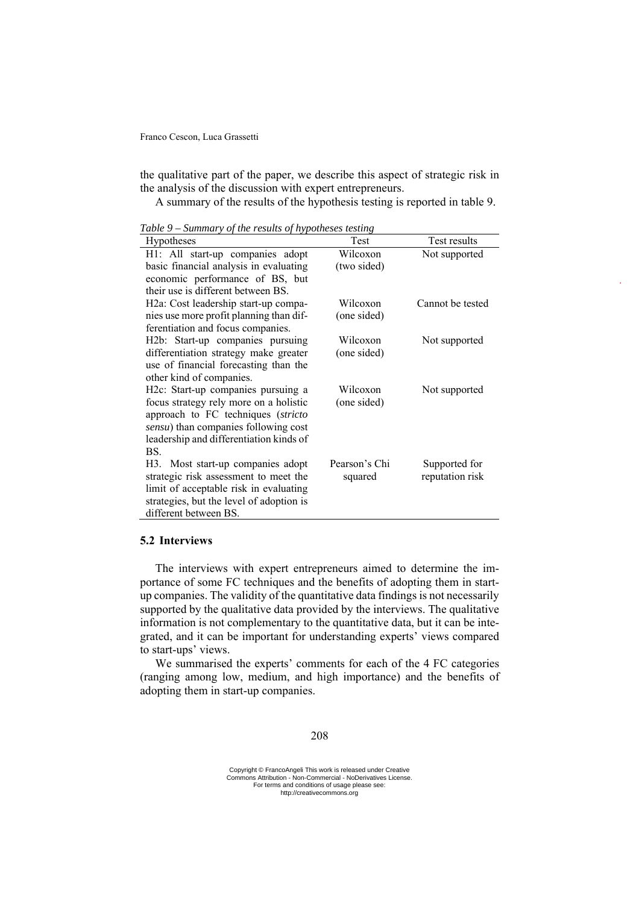the qualitative part of the paper, we describe this aspect of strategic risk in the analysis of the discussion with expert entrepreneurs.

A summary of the results of the hypothesis testing is reported in table 9.

| <b>Hypotheses</b>                               | Test          | Test results     |
|-------------------------------------------------|---------------|------------------|
| H1: All start-up companies adopt                | Wilcoxon      | Not supported    |
| basic financial analysis in evaluating          | (two sided)   |                  |
| economic performance of BS, but                 |               |                  |
| their use is different between BS.              |               |                  |
| H2a: Cost leadership start-up compa-            | Wilcoxon      | Cannot be tested |
| nies use more profit planning than dif-         | (one sided)   |                  |
| ferentiation and focus companies.               |               |                  |
| H2b: Start-up companies pursuing                | Wilcoxon      | Not supported    |
| differentiation strategy make greater           | (one sided)   |                  |
| use of financial forecasting than the           |               |                  |
| other kind of companies.                        |               |                  |
| H <sub>2</sub> c: Start-up companies pursuing a | Wilcoxon      | Not supported    |
| focus strategy rely more on a holistic          | (one sided)   |                  |
| approach to FC techniques (stricto              |               |                  |
| sensu) than companies following cost            |               |                  |
| leadership and differentiation kinds of         |               |                  |
| BS.                                             |               |                  |
| H3. Most start-up companies adopt               | Pearson's Chi | Supported for    |
| strategic risk assessment to meet the           | squared       | reputation risk  |
| limit of acceptable risk in evaluating          |               |                  |
| strategies, but the level of adoption is        |               |                  |
| different between BS.                           |               |                  |

*Table 9 – Summary of the results of hypotheses testing* 

# **5.2 Interviews**

The interviews with expert entrepreneurs aimed to determine the importance of some FC techniques and the benefits of adopting them in startup companies. The validity of the quantitative data findings is not necessarily supported by the qualitative data provided by the interviews. The qualitative information is not complementary to the quantitative data, but it can be integrated, and it can be important for understanding experts' views compared to start-ups' views.

We summarised the experts' comments for each of the 4 FC categories (ranging among low, medium, and high importance) and the benefits of adopting them in start-up companies.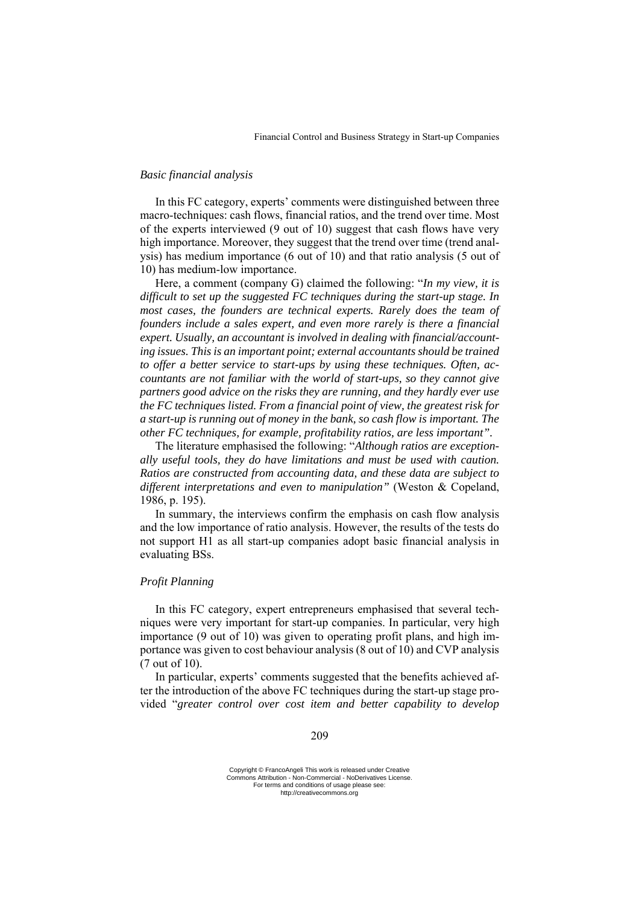# *Basic financial analysis*

In this FC category, experts' comments were distinguished between three macro-techniques: cash flows, financial ratios, and the trend over time. Most of the experts interviewed (9 out of 10) suggest that cash flows have very high importance. Moreover, they suggest that the trend over time (trend analysis) has medium importance (6 out of 10) and that ratio analysis (5 out of 10) has medium-low importance.

Here, a comment (company G) claimed the following: "*In my view, it is difficult to set up the suggested FC techniques during the start-up stage. In most cases, the founders are technical experts. Rarely does the team of founders include a sales expert, and even more rarely is there a financial expert. Usually, an accountant is involved in dealing with financial/accounting issues. This is an important point; external accountants should be trained to offer a better service to start-ups by using these techniques. Often, accountants are not familiar with the world of start-ups, so they cannot give partners good advice on the risks they are running, and they hardly ever use the FC techniques listed. From a financial point of view, the greatest risk for a start-up is running out of money in the bank, so cash flow is important. The other FC techniques, for example, profitability ratios, are less important".* 

The literature emphasised the following: "*Although ratios are exceptionally useful tools, they do have limitations and must be used with caution. Ratios are constructed from accounting data, and these data are subject to different interpretations and even to manipulation"* (Weston & Copeland, 1986, p. 195).

In summary, the interviews confirm the emphasis on cash flow analysis and the low importance of ratio analysis. However, the results of the tests do not support H1 as all start-up companies adopt basic financial analysis in evaluating BSs.

# *Profit Planning*

In this FC category, expert entrepreneurs emphasised that several techniques were very important for start-up companies. In particular, very high importance (9 out of 10) was given to operating profit plans, and high importance was given to cost behaviour analysis (8 out of 10) and CVP analysis (7 out of 10).

In particular, experts' comments suggested that the benefits achieved after the introduction of the above FC techniques during the start-up stage provided "*greater control over cost item and better capability to develop*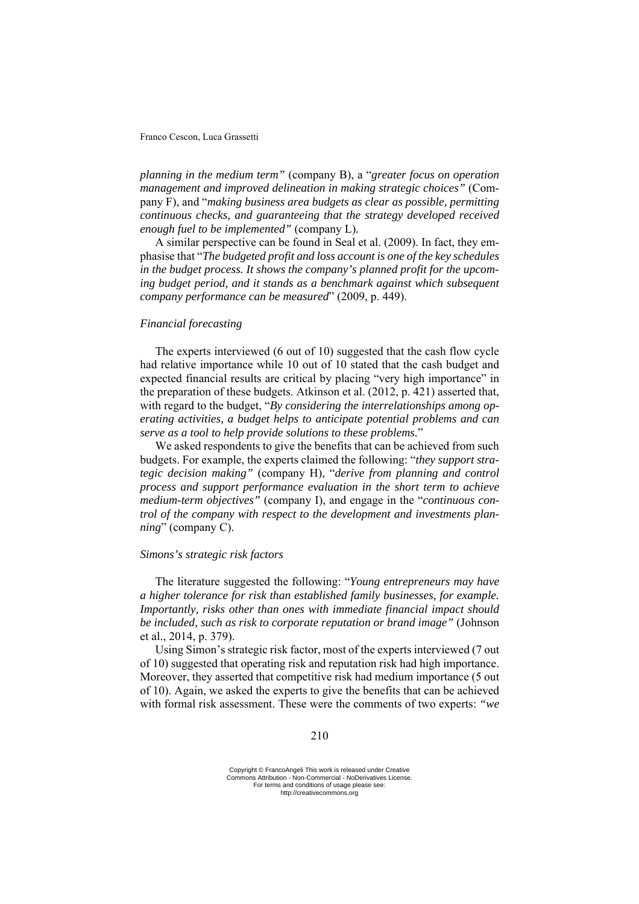*planning in the medium term"* (company B), a "*greater focus on operation management and improved delineation in making strategic choices"* (Company F), and "*making business area budgets as clear as possible, permitting continuous checks, and guaranteeing that the strategy developed received enough fuel to be implemented"* (company L)*.* 

A similar perspective can be found in Seal et al. (2009). In fact, they emphasise that "*The budgeted profit and loss account is one of the key schedules in the budget process. It shows the company's planned profit for the upcoming budget period, and it stands as a benchmark against which subsequent company performance can be measured*" (2009, p. 449).

# *Financial forecasting*

The experts interviewed (6 out of 10) suggested that the cash flow cycle had relative importance while 10 out of 10 stated that the cash budget and expected financial results are critical by placing "very high importance" in the preparation of these budgets. Atkinson et al. (2012, p. 421) asserted that, with regard to the budget, "*By considering the interrelationships among operating activities, a budget helps to anticipate potential problems and can serve as a tool to help provide solutions to these problems.*"

We asked respondents to give the benefits that can be achieved from such budgets. For example, the experts claimed the following: "*they support strategic decision making"* (company H), "*derive from planning and control process and support performance evaluation in the short term to achieve medium-term objectives"* (company I), and engage in the "*continuous control of the company with respect to the development and investments planning*" (company C).

## *Simons's strategic risk factors*

The literature suggested the following: "*Young entrepreneurs may have a higher tolerance for risk than established family businesses, for example. Importantly, risks other than ones with immediate financial impact should be included, such as risk to corporate reputation or brand image"* (Johnson et al., 2014, p. 379).

Using Simon's strategic risk factor, most of the experts interviewed (7 out of 10) suggested that operating risk and reputation risk had high importance. Moreover, they asserted that competitive risk had medium importance (5 out of 10). Again, we asked the experts to give the benefits that can be achieved with formal risk assessment. These were the comments of two experts: *"we*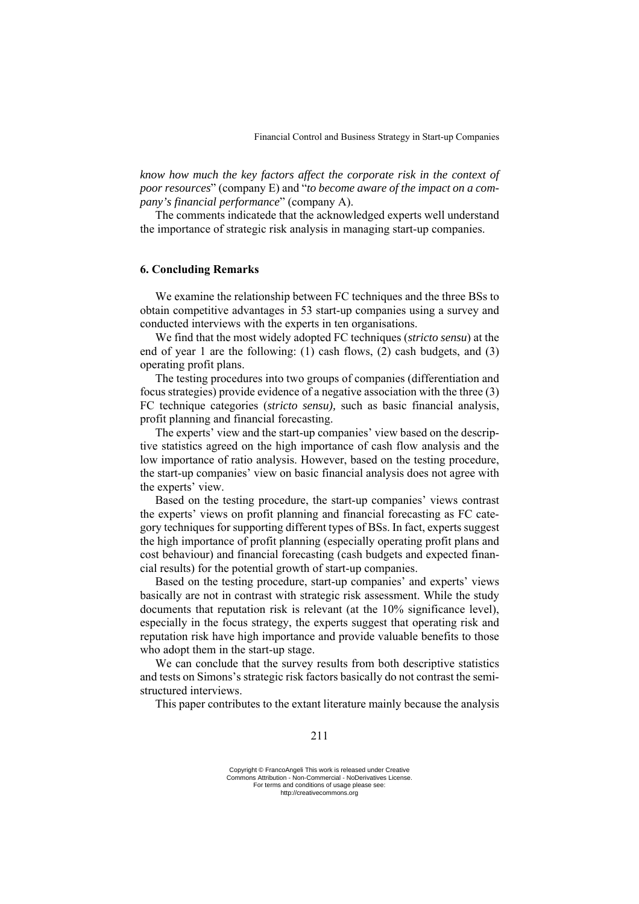*know how much the key factors affect the corporate risk in the context of poor resources*" (company E) and "*to become aware of the impact on a company's financial performance*" (company A).

The comments indicatede that the acknowledged experts well understand the importance of strategic risk analysis in managing start-up companies.

# **6. Concluding Remarks**

We examine the relationship between FC techniques and the three BSs to obtain competitive advantages in 53 start-up companies using a survey and conducted interviews with the experts in ten organisations.

We find that the most widely adopted FC techniques (*stricto sensu*) at the end of year 1 are the following: (1) cash flows, (2) cash budgets, and (3) operating profit plans.

The testing procedures into two groups of companies (differentiation and focus strategies) provide evidence of a negative association with the three (3) FC technique categories (*stricto sensu),* such as basic financial analysis, profit planning and financial forecasting.

The experts' view and the start-up companies' view based on the descriptive statistics agreed on the high importance of cash flow analysis and the low importance of ratio analysis. However, based on the testing procedure, the start-up companies' view on basic financial analysis does not agree with the experts' view.

Based on the testing procedure, the start-up companies' views contrast the experts' views on profit planning and financial forecasting as FC category techniques for supporting different types of BSs. In fact, experts suggest the high importance of profit planning (especially operating profit plans and cost behaviour) and financial forecasting (cash budgets and expected financial results) for the potential growth of start-up companies.

Based on the testing procedure, start-up companies' and experts' views basically are not in contrast with strategic risk assessment. While the study documents that reputation risk is relevant (at the 10% significance level), especially in the focus strategy, the experts suggest that operating risk and reputation risk have high importance and provide valuable benefits to those who adopt them in the start-up stage.

We can conclude that the survey results from both descriptive statistics and tests on Simons's strategic risk factors basically do not contrast the semistructured interviews.

This paper contributes to the extant literature mainly because the analysis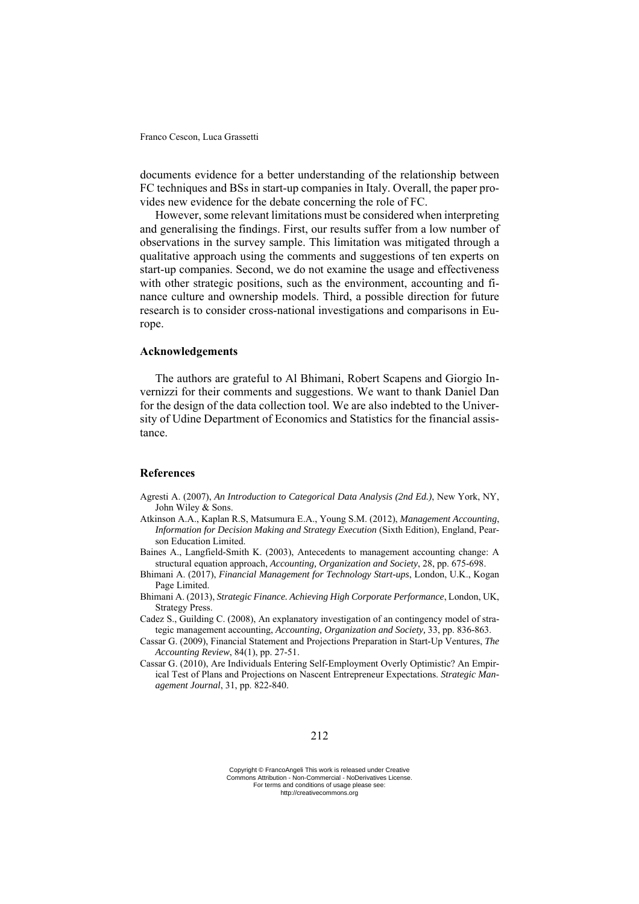documents evidence for a better understanding of the relationship between FC techniques and BSs in start-up companies in Italy. Overall, the paper provides new evidence for the debate concerning the role of FC.

However, some relevant limitations must be considered when interpreting and generalising the findings. First, our results suffer from a low number of observations in the survey sample. This limitation was mitigated through a qualitative approach using the comments and suggestions of ten experts on start-up companies. Second, we do not examine the usage and effectiveness with other strategic positions, such as the environment, accounting and finance culture and ownership models. Third, a possible direction for future research is to consider cross-national investigations and comparisons in Europe.

# **Acknowledgements**

The authors are grateful to Al Bhimani, Robert Scapens and Giorgio Invernizzi for their comments and suggestions. We want to thank Daniel Dan for the design of the data collection tool. We are also indebted to the University of Udine Department of Economics and Statistics for the financial assistance.

## **References**

- Agresti A. (2007), *An Introduction to Categorical Data Analysis (2nd Ed.)*, New York, NY, John Wiley & Sons.
- Atkinson A.A., Kaplan R.S, Matsumura E.A., Young S.M. (2012), *Management Accounting*, *Information for Decision Making and Strategy Execution* (Sixth Edition), England, Pearson Education Limited.
- Baines A., Langfield-Smith K. (2003), Antecedents to management accounting change: A structural equation approach, *Accounting, Organization and Society*, 28, pp. 675-698.
- Bhimani A. (2017), *Financial Management for Technology Start-ups*, London, U.K., Kogan Page Limited.
- Bhimani A. (2013), *Strategic Finance. Achieving High Corporate Performance*, London, UK, Strategy Press.
- Cadez S., Guilding C. (2008), An explanatory investigation of an contingency model of strategic management accounting, *Accounting, Organization and Society,* 33, pp. 836-863.
- Cassar G. (2009), Financial Statement and Projections Preparation in Start-Up Ventures, *The Accounting Review*, 84(1), pp. 27-51.
- Cassar G. (2010), Are Individuals Entering Self-Employment Overly Optimistic? An Empirical Test of Plans and Projections on Nascent Entrepreneur Expectations. *Strategic Management Journal*, 31, pp. 822-840.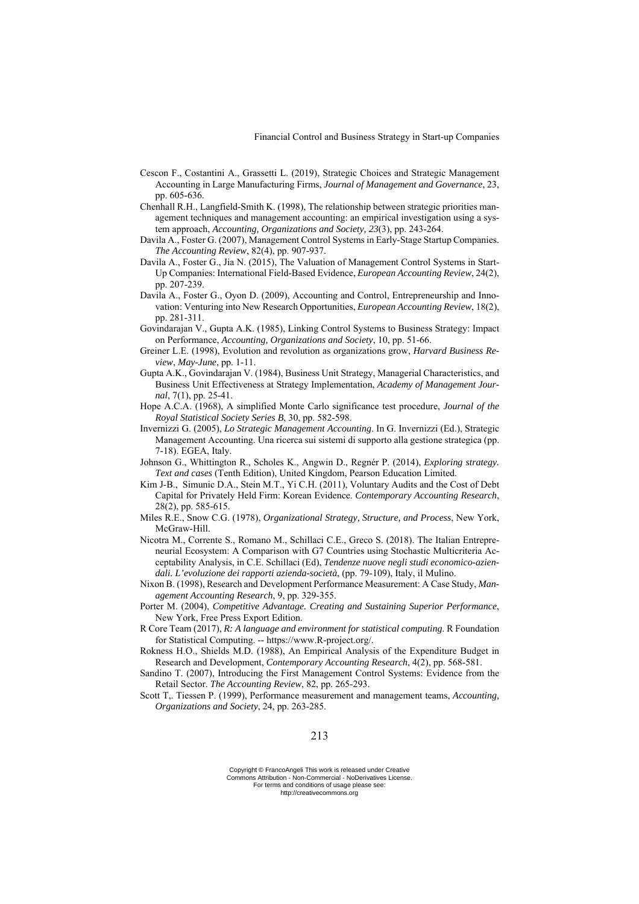- Cescon F., Costantini A., Grassetti L. (2019), Strategic Choices and Strategic Management Accounting in Large Manufacturing Firms, *Journal of Management and Governance*, 23, pp. 605-636.
- Chenhall R.H., Langfield-Smith K. (1998), The relationship between strategic priorities management techniques and management accounting: an empirical investigation using a system approach, *Accounting, Organizations and Society, 23*(3), pp. 243-264.
- Davila A., Foster G. (2007), Management Control Systems in Early-Stage Startup Companies. *The Accounting Review*, 82(4), pp. 907-937.
- Davila A., Foster G., Jia N. (2015), The Valuation of Management Control Systems in Start-Up Companies: International Field-Based Evidence, *European Accounting Review*, 24(2), pp. 207-239.
- Davila A., Foster G., Oyon D. (2009), Accounting and Control, Entrepreneurship and Innovation: Venturing into New Research Opportunities, *European Accounting Review*, 18(2), pp. 281-311.
- Govindarajan V., Gupta A.K. (1985), Linking Control Systems to Business Strategy: Impact on Performance, *Accounting, Organizations and Society*, 10, pp. 51-66.
- Greiner L.E. (1998), Evolution and revolution as organizations grow, *Harvard Business Review*, *May-June*, pp. 1-11.
- Gupta A.K., Govindarajan V. (1984), Business Unit Strategy, Managerial Characteristics, and Business Unit Effectiveness at Strategy Implementation, *Academy of Management Journal*, 7(1), pp. 25-41.
- Hope A.C.A. (1968), A simplified Monte Carlo significance test procedure, *Journal of the Royal Statistical Society Series B*, 30, pp. 582-598.
- Invernizzi G. (2005), *Lo Strategic Management Accounting*. In G. Invernizzi (Ed.), Strategic Management Accounting. Una ricerca sui sistemi di supporto alla gestione strategica (pp. 7-18). EGEA, Italy.
- Johnson G., Whittington R., Scholes K., Angwin D., Regnér P. (2014), *Exploring strategy. Text and cases* (Tenth Edition), United Kingdom, Pearson Education Limited.
- Kim J-B., Simunic D.A., Stein M.T., Yi C.H. (2011), Voluntary Audits and the Cost of Debt Capital for Privately Held Firm: Korean Evidence. *Contemporary Accounting Research*, 28(2), pp. 585-615.
- Miles R.E., Snow C.G. (1978), *Organizational Strategy, Structure, and Process*, New York, McGraw-Hill.
- Nicotra M., Corrente S., Romano M., Schillaci C.E., Greco S. (2018). The Italian Entrepreneurial Ecosystem: A Comparison with G7 Countries using Stochastic Multicriteria Acceptability Analysis, in C.E. Schillaci (Ed), *Tendenze nuove negli studi economico-aziendali. L'evoluzione dei rapporti azienda-società*, (pp. 79-109), Italy, il Mulino.
- Nixon B. (1998), Research and Development Performance Measurement: A Case Study, *Management Accounting Research*, 9, pp. 329-355.
- Porter M. (2004), *Competitive Advantage. Creating and Sustaining Superior Performance*, New York, Free Press Export Edition.
- R Core Team (2017), *R: A language and environment for statistical computing*. R Foundation for Statistical Computing. -- https://www.R-project.org/.
- Rokness H.O., Shields M.D. (1988), An Empirical Analysis of the Expenditure Budget in Research and Development, *Contemporary Accounting Research*, 4(2), pp. 568-581.
- Sandino T. (2007), Introducing the First Management Control Systems: Evidence from the Retail Sector. *The Accounting Review*, 82, pp. 265-293.
- Scott T,. Tiessen P. (1999), Performance measurement and management teams, *Accounting, Organizations and Society*, 24, pp. 263-285.